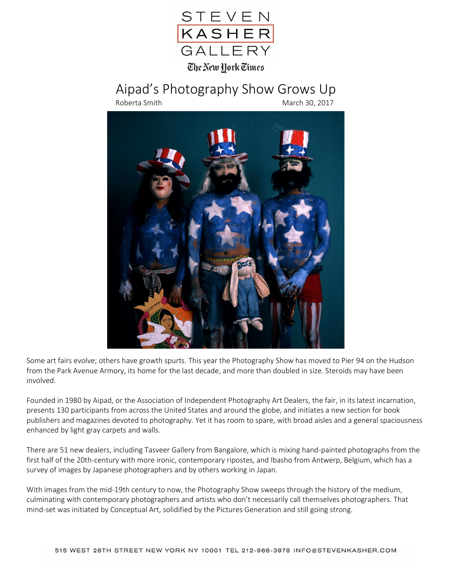

## Aipad's Photography Show Grows Up

Roberta Smith March 30, 2017



Some art fairs evolve; others have growth spurts. This year the Photography Show has moved to Pier 94 on the Hudson from the Park Avenue Armory, its home for the last decade, and more than doubled in size. Steroids may have been involved.

Founded in 1980 by Aipad, or the Association of Independent Photography Art Dealers, the fair, in its latest incarnation, presents 130 participants from across the United States and around the globe, and initiates a new section for book publishers and magazines devoted to photography. Yet it has room to spare, with broad aisles and a general spaciousness enhanced by light gray carpets and walls.

There are 51 new dealers, including Tasveer Gallery from Bangalore, which is mixing hand-painted photographs from the first half of the 20th-century with more ironic, contemporary ripostes, and Ibasho from Antwerp, Belgium, which has a survey of images by Japanese photographers and by others working in Japan.

With images from the mid-19th century to now, the Photography Show sweeps through the history of the medium, culminating with contemporary photographers and artists who don't necessarily call themselves photographers. That mind-set was initiated by Conceptual Art, solidified by the Pictures Generation and still going strong.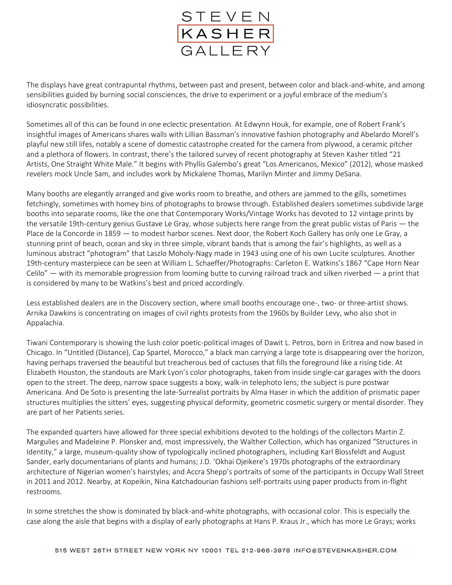

The displays have great contrapuntal rhythms, between past and present, between color and black-and-white, and among sensibilities guided by burning social consciences, the drive to experiment or a joyful embrace of the medium's idiosyncratic possibilities.

Sometimes all of this can be found in one eclectic presentation. At Edwynn Houk, for example, one of Robert Frank's insightful images of Americans shares walls with Lillian Bassman's innovative fashion photography and Abelardo Morell's playful new still lifes, notably a scene of domestic catastrophe created for the camera from plywood, a ceramic pitcher and a plethora of flowers. In contrast, there's the tailored survey of recent photography at Steven Kasher titled "21 Artists, One Straight White Male." It begins with Phyllis Galembo's great "Los Americanos, Mexico" (2012), whose masked revelers mock Uncle Sam, and includes work by Mickalene Thomas, Marilyn Minter and Jimmy DeSana.

Many booths are elegantly arranged and give works room to breathe, and others are jammed to the gills, sometimes fetchingly, sometimes with homey bins of photographs to browse through. Established dealers sometimes subdivide large booths into separate rooms, like the one that Contemporary Works/Vintage Works has devoted to 12 vintage prints by the versatile 19th-century genius Gustave Le Gray, whose subjects here range from the great public vistas of Paris — the Place de la Concorde in 1859 — to modest harbor scenes. Next door, the Robert Koch Gallery has only one Le Gray, a stunning print of beach, ocean and sky in three simple, vibrant bands that is among the fair's highlights, as well as a luminous abstract "photogram" that Laszlo Moholy-Nagy made in 1943 using one of his own Lucite sculptures. Another 19th-century masterpiece can be seen at William L. Schaeffer/Photographs: Carleton E. Watkins's 1867 "Cape Horn Near Celilo"  $-$  with its memorable progression from looming butte to curving railroad track and silken riverbed  $-$  a print that is considered by many to be Watkins's best and priced accordingly.

Less established dealers are in the Discovery section, where small booths encourage one-, two- or three-artist shows. Arnika Dawkins is concentrating on images of civil rights protests from the 1960s by Builder Levy, who also shot in Appalachia.

Tiwani Contemporary is showing the lush color poetic-political images of Dawit L. Petros, born in Eritrea and now based in Chicago. In "Untitled (Distance), Cap Spartel, Morocco," a black man carrying a large tote is disappearing over the horizon, having perhaps traversed the beautiful but treacherous bed of cactuses that fills the foreground like a rising tide. At Elizabeth Houston, the standouts are Mark Lyon's color photographs, taken from inside single-car garages with the doors open to the street. The deep, narrow space suggests a boxy, walk-in telephoto lens; the subject is pure postwar Americana. And De Soto is presenting the late-Surrealist portraits by Alma Haser in which the addition of prismatic paper structures multiplies the sitters' eyes, suggesting physical deformity, geometric cosmetic surgery or mental disorder. They are part of her Patients series.

The expanded quarters have allowed for three special exhibitions devoted to the holdings of the collectors Martin Z. Margulies and Madeleine P. Plonsker and, most impressively, the Walther Collection, which has organized "Structures in Identity," a large, museum-quality show of typologically inclined photographers, including Karl Blossfeldt and August Sander, early documentarians of plants and humans; J.D. 'Okhai Ojeikere's 1970s photographs of the extraordinary architecture of Nigerian women's hairstyles; and Accra Shepp's portraits of some of the participants in Occupy Wall Street in 2011 and 2012. Nearby, at Kopeikin, Nina Katchadourian fashions self-portraits using paper products from in-flight restrooms.

In some stretches the show is dominated by black-and-white photographs, with occasional color. This is especially the case along the aisle that begins with a display of early photographs at Hans P. Kraus Jr., which has more Le Grays; works